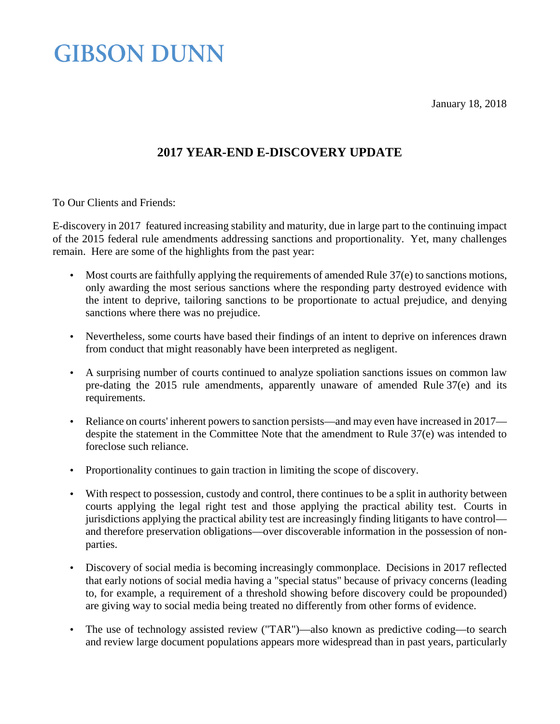January 18, 2018

### **GIBSON DUNN**

### **2017 YEAR-END E-DISCOVERY UPDATE**

To Our Clients and Friends:

E-discovery in 2017 featured increasing stability and maturity, due in large part to the continuing impact of the 2015 federal rule amendments addressing sanctions and proportionality. Yet, many challenges remain. Here are some of the highlights from the past year:

- L, Most courts are faithfully applying the requirements of amended Rule 37(e) to sanctions motions, only awarding the most serious sanctions where the responding party destroyed evidence with the intent to deprive, tailoring sanctions to be proportionate to actual prejudice, and denying sanctions where there was no prejudice.
- Nevertheless, some courts have based their findings of an intent to deprive on inferences drawn ¥. from conduct that might reasonably have been interpreted as negligent.
- A surprising number of courts continued to analyze spoliation sanctions issues on common law  $\Box$ pre-dating the 2015 rule amendments, apparently unaware of amended Rule 37(e) and its requirements.
- Reliance on courts' inherent powers to sanction persists—and may even have increased in 2017 l, despite the statement in the Committee Note that the amendment to Rule 37(e) was intended to foreclose such reliance.
- Proportionality continues to gain traction in limiting the scope of discovery. ä,
- With respect to possession, custody and control, there continues to be a split in authority between  $\mathbb{Z}^2$ courts applying the legal right test and those applying the practical ability test. Courts in jurisdictions applying the practical ability test are increasingly finding litigants to have control and therefore preservation obligations—over discoverable information in the possession of nonparties.
- Discovery of social media is becoming increasingly commonplace. Decisions in 2017 reflected l, that early notions of social media having a "special status" because of privacy concerns (leading to, for example, a requirement of a threshold showing before discovery could be propounded) are giving way to social media being treated no differently from other forms of evidence.
- The use of technology assisted review ("TAR")—also known as predictive coding—to search ä, and review large document populations appears more widespread than in past years, particularly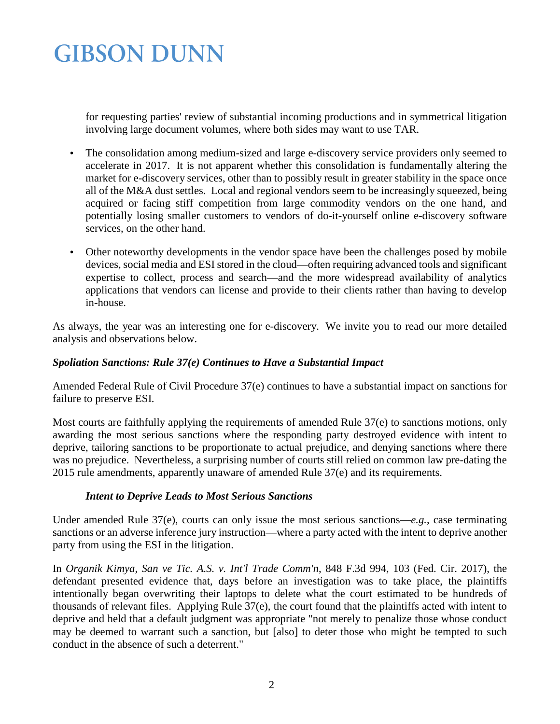for requesting parties' review of substantial incoming productions and in symmetrical litigation involving large document volumes, where both sides may want to use TAR.

- The consolidation among medium-sized and large e-discovery service providers only seemed to l, accelerate in 2017. It is not apparent whether this consolidation is fundamentally altering the market for e-discovery services, other than to possibly result in greater stability in the space once all of the M&A dust settles. Local and regional vendors seem to be increasingly squeezed, being acquired or facing stiff competition from large commodity vendors on the one hand, and potentially losing smaller customers to vendors of do-it-yourself online e-discovery software services, on the other hand.
- Other noteworthy developments in the vendor space have been the challenges posed by mobile ä, devices, social media and ESI stored in the cloud—often requiring advanced tools and significant expertise to collect, process and search—and the more widespread availability of analytics applications that vendors can license and provide to their clients rather than having to develop in-house.

As always, the year was an interesting one for e-discovery. We invite you to read our more detailed analysis and observations below.

#### *Spoliation Sanctions: Rule 37(e) Continues to Have a Substantial Impact*

Amended Federal Rule of Civil Procedure 37(e) continues to have a substantial impact on sanctions for failure to preserve ESI.

Most courts are faithfully applying the requirements of amended Rule 37(e) to sanctions motions, only awarding the most serious sanctions where the responding party destroyed evidence with intent to deprive, tailoring sanctions to be proportionate to actual prejudice, and denying sanctions where there was no prejudice. Nevertheless, a surprising number of courts still relied on common law pre-dating the 2015 rule amendments, apparently unaware of amended Rule 37(e) and its requirements.

#### *Intent to Deprive Leads to Most Serious Sanctions*

Under amended Rule 37(e), courts can only issue the most serious sanctions—*e.g.*, case terminating sanctions or an adverse inference jury instruction—where a party acted with the intent to deprive another party from using the ESI in the litigation.

In *Organik Kimya, San ve Tic. A.S. v. Int'l Trade Comm'n*, 848 F.3d 994, 103 (Fed. Cir. 2017), the defendant presented evidence that, days before an investigation was to take place, the plaintiffs intentionally began overwriting their laptops to delete what the court estimated to be hundreds of thousands of relevant files. Applying Rule 37(e), the court found that the plaintiffs acted with intent to deprive and held that a default judgment was appropriate "not merely to penalize those whose conduct may be deemed to warrant such a sanction, but [also] to deter those who might be tempted to such conduct in the absence of such a deterrent."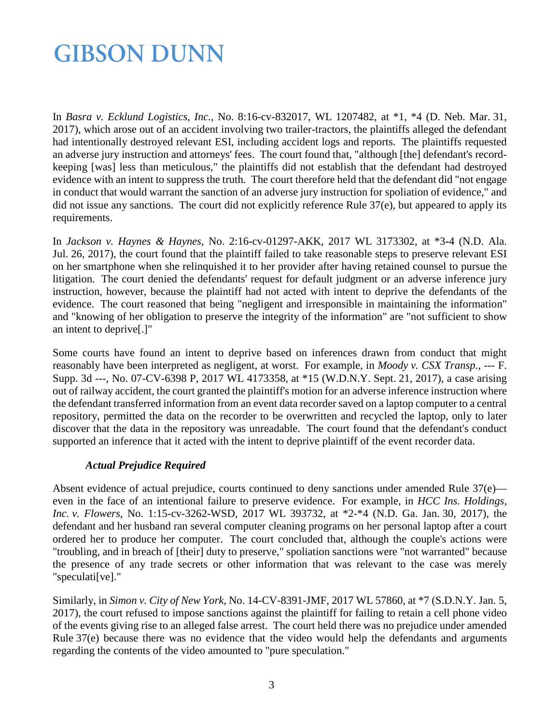In *Basra v. Ecklund Logistics, Inc.*, No. 8:16-cv-832017, WL 1207482, at \*1, \*4 (D. Neb. Mar. 31, 2017), which arose out of an accident involving two trailer-tractors, the plaintiffs alleged the defendant had intentionally destroyed relevant ESI, including accident logs and reports. The plaintiffs requested an adverse jury instruction and attorneys' fees. The court found that, "although [the] defendant's recordkeeping [was] less than meticulous," the plaintiffs did not establish that the defendant had destroyed evidence with an intent to suppress the truth. The court therefore held that the defendant did "not engage in conduct that would warrant the sanction of an adverse jury instruction for spoliation of evidence," and did not issue any sanctions. The court did not explicitly reference Rule 37(e), but appeared to apply its requirements.

In *Jackson v. Haynes & Haynes*, No. 2:16-cv-01297-AKK, 2017 WL 3173302, at \*3**-**4 (N.D. Ala. Jul. 26, 2017), the court found that the plaintiff failed to take reasonable steps to preserve relevant ESI on her smartphone when she relinquished it to her provider after having retained counsel to pursue the litigation. The court denied the defendants' request for default judgment or an adverse inference jury instruction, however, because the plaintiff had not acted with intent to deprive the defendants of the evidence. The court reasoned that being "negligent and irresponsible in maintaining the information" and "knowing of her obligation to preserve the integrity of the information" are "not sufficient to show an intent to deprive[.]"

Some courts have found an intent to deprive based on inferences drawn from conduct that might reasonably have been interpreted as negligent, at worst. For example, in *Moody v. CSX Transp.*, --- F. Supp. 3d ---, No. 07-CV-6398 P, 2017 WL 4173358, at \*15 (W.D.N.Y. Sept. 21, 2017), a case arising out of railway accident, the court granted the plaintiff's motion for an adverse inference instruction where the defendant transferred information from an event data recorder saved on a laptop computer to a central repository, permitted the data on the recorder to be overwritten and recycled the laptop, only to later discover that the data in the repository was unreadable. The court found that the defendant's conduct supported an inference that it acted with the intent to deprive plaintiff of the event recorder data.

#### *Actual Prejudice Required*

Absent evidence of actual prejudice, courts continued to deny sanctions under amended Rule 37(e) even in the face of an intentional failure to preserve evidence. For example, in *HCC Ins. Holdings, Inc. v. Flowers*, No. 1:15-cv-3262-WSD, 2017 WL 393732, at \*2-\*4 (N.D. Ga. Jan. 30, 2017), the defendant and her husband ran several computer cleaning programs on her personal laptop after a court ordered her to produce her computer. The court concluded that, although the couple's actions were "troubling, and in breach of [their] duty to preserve," spoliation sanctions were "not warranted" because the presence of any trade secrets or other information that was relevant to the case was merely "speculati[ve]."

Similarly, in *Simon v. City of New York*, No. 14-CV-8391-JMF, 2017 WL 57860, at \*7 (S.D.N.Y. Jan. 5, 2017), the court refused to impose sanctions against the plaintiff for failing to retain a cell phone video of the events giving rise to an alleged false arrest. The court held there was no prejudice under amended Rule 37(e) because there was no evidence that the video would help the defendants and arguments regarding the contents of the video amounted to "pure speculation."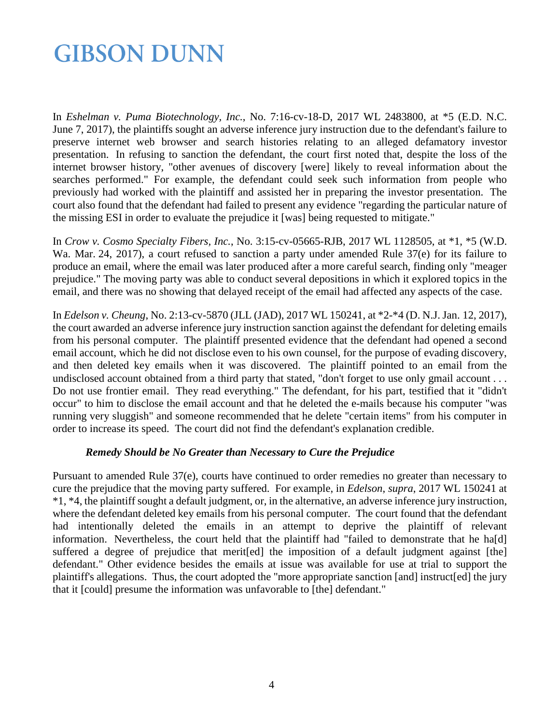In *Eshelman v. Puma Biotechnology, Inc.*, No. 7:16-cv-18-D, 2017 WL 2483800, at \*5 (E.D. N.C. June 7, 2017), the plaintiffs sought an adverse inference jury instruction due to the defendant's failure to preserve internet web browser and search histories relating to an alleged defamatory investor presentation. In refusing to sanction the defendant, the court first noted that, despite the loss of the internet browser history, "other avenues of discovery [were] likely to reveal information about the searches performed." For example, the defendant could seek such information from people who previously had worked with the plaintiff and assisted her in preparing the investor presentation. The court also found that the defendant had failed to present any evidence "regarding the particular nature of the missing ESI in order to evaluate the prejudice it [was] being requested to mitigate."

In *Crow v. Cosmo Specialty Fibers, Inc.*, No. 3:15-cv-05665-RJB, 2017 WL 1128505, at \*1, \*5 (W.D. Wa. Mar. 24, 2017), a court refused to sanction a party under amended Rule 37(e) for its failure to produce an email, where the email was later produced after a more careful search, finding only "meager prejudice." The moving party was able to conduct several depositions in which it explored topics in the email, and there was no showing that delayed receipt of the email had affected any aspects of the case.

In *Edelson v. Cheung*, No. 2:13-cv-5870 (JLL (JAD), 2017 WL 150241, at \*2-\*4 (D. N.J. Jan. 12, 2017), the court awarded an adverse inference jury instruction sanction against the defendant for deleting emails from his personal computer. The plaintiff presented evidence that the defendant had opened a second email account, which he did not disclose even to his own counsel, for the purpose of evading discovery, and then deleted key emails when it was discovered. The plaintiff pointed to an email from the undisclosed account obtained from a third party that stated, "don't forget to use only gmail account . . . Do not use frontier email. They read everything." The defendant, for his part, testified that it "didn't occur" to him to disclose the email account and that he deleted the e-mails because his computer "was running very sluggish" and someone recommended that he delete "certain items" from his computer in order to increase its speed. The court did not find the defendant's explanation credible.

#### *Remedy Should be No Greater than Necessary to Cure the Prejudice*

Pursuant to amended Rule 37(e), courts have continued to order remedies no greater than necessary to cure the prejudice that the moving party suffered. For example, in *Edelson*, *supra*, 2017 WL 150241 at \*1, \*4, the plaintiff sought a default judgment, or, in the alternative, an adverse inference jury instruction, where the defendant deleted key emails from his personal computer. The court found that the defendant had intentionally deleted the emails in an attempt to deprive the plaintiff of relevant information. Nevertheless, the court held that the plaintiff had "failed to demonstrate that he ha[d] suffered a degree of prejudice that merited the imposition of a default judgment against [the] defendant." Other evidence besides the emails at issue was available for use at trial to support the plaintiff's allegations. Thus, the court adopted the "more appropriate sanction [and] instruct[ed] the jury that it [could] presume the information was unfavorable to [the] defendant."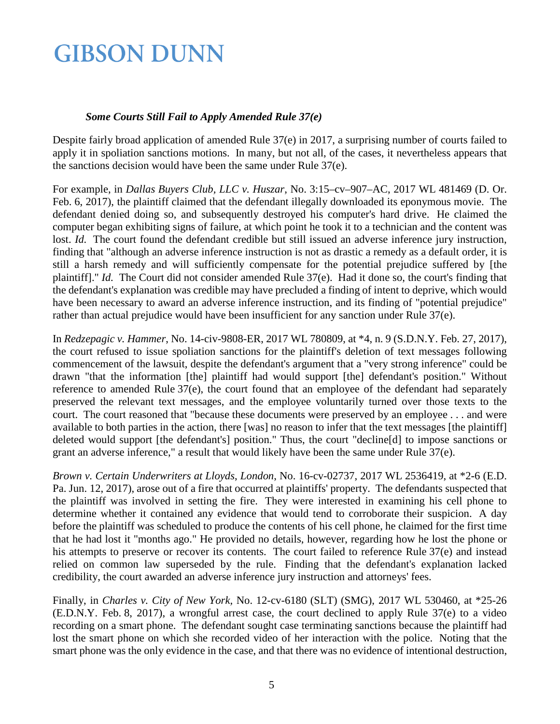#### *Some Courts Still Fail to Apply Amended Rule 37(e)*

Despite fairly broad application of amended Rule 37(e) in 2017, a surprising number of courts failed to apply it in spoliation sanctions motions. In many, but not all, of the cases, it nevertheless appears that the sanctions decision would have been the same under Rule 37(e).

For example, in *Dallas Buyers Club, LLC v. Huszar*, No. 3:15–cv–907–AC, 2017 WL 481469 (D. Or. Feb. 6, 2017), the plaintiff claimed that the defendant illegally downloaded its eponymous movie. The defendant denied doing so, and subsequently destroyed his computer's hard drive. He claimed the computer began exhibiting signs of failure, at which point he took it to a technician and the content was lost. *Id.* The court found the defendant credible but still issued an adverse inference jury instruction, finding that "although an adverse inference instruction is not as drastic a remedy as a default order, it is still a harsh remedy and will sufficiently compensate for the potential prejudice suffered by [the plaintiff]." *Id.* The Court did not consider amended Rule 37(e). Had it done so, the court's finding that the defendant's explanation was credible may have precluded a finding of intent to deprive, which would have been necessary to award an adverse inference instruction, and its finding of "potential prejudice" rather than actual prejudice would have been insufficient for any sanction under Rule 37(e).

In *Redzepagic v. Hammer*, No. 14-civ-9808-ER, 2017 WL 780809, at \*4, n. 9 (S.D.N.Y. Feb. 27, 2017), the court refused to issue spoliation sanctions for the plaintiff's deletion of text messages following commencement of the lawsuit, despite the defendant's argument that a "very strong inference" could be drawn "that the information [the] plaintiff had would support [the] defendant's position." Without reference to amended Rule 37(e), the court found that an employee of the defendant had separately preserved the relevant text messages, and the employee voluntarily turned over those texts to the court. The court reasoned that "because these documents were preserved by an employee . . . and were available to both parties in the action, there [was] no reason to infer that the text messages [the plaintiff] deleted would support [the defendant's] position." Thus, the court "decline[d] to impose sanctions or grant an adverse inference," a result that would likely have been the same under Rule 37(e).

*Brown v. Certain Underwriters at Lloyds*, *London*, No. 16-cv-02737, 2017 WL 2536419, at \*2**-**6 (E.D. Pa. Jun. 12, 2017), arose out of a fire that occurred at plaintiffs' property. The defendants suspected that the plaintiff was involved in setting the fire. They were interested in examining his cell phone to determine whether it contained any evidence that would tend to corroborate their suspicion. A day before the plaintiff was scheduled to produce the contents of his cell phone, he claimed for the first time that he had lost it "months ago." He provided no details, however, regarding how he lost the phone or his attempts to preserve or recover its contents. The court failed to reference Rule 37(e) and instead relied on common law superseded by the rule. Finding that the defendant's explanation lacked credibility, the court awarded an adverse inference jury instruction and attorneys' fees.

Finally, in *Charles v. City of New York,* No. 12-cv-6180 (SLT) (SMG), 2017 WL 530460, at \*25-26 (E.D.N.Y. Feb. 8, 2017), a wrongful arrest case, the court declined to apply Rule 37(e) to a video recording on a smart phone. The defendant sought case terminating sanctions because the plaintiff had lost the smart phone on which she recorded video of her interaction with the police. Noting that the smart phone was the only evidence in the case, and that there was no evidence of intentional destruction,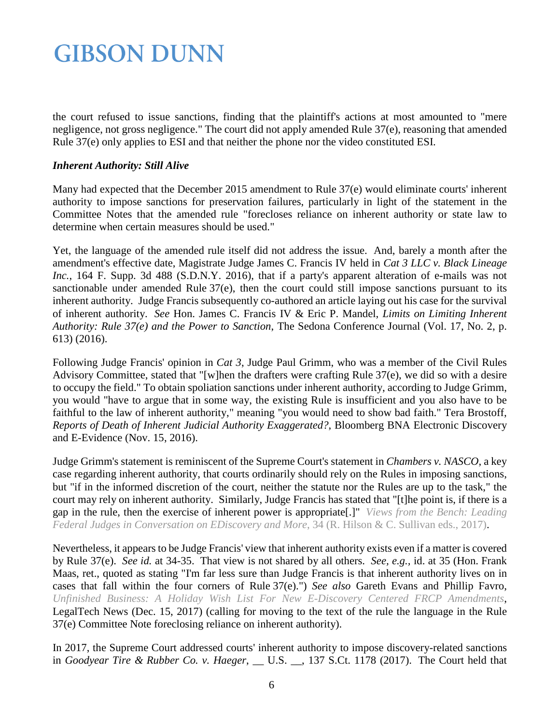the court refused to issue sanctions, finding that the plaintiff's actions at most amounted to "mere negligence, not gross negligence." The court did not apply amended Rule 37(e), reasoning that amended Rule 37(e) only applies to ESI and that neither the phone nor the video constituted ESI.

#### *Inherent Authority: Still Alive*

Many had expected that the December 2015 amendment to Rule 37(e) would eliminate courts' inherent authority to impose sanctions for preservation failures, particularly in light of the statement in the Committee Notes that the amended rule "forecloses reliance on inherent authority or state law to determine when certain measures should be used."

Yet, the language of the amended rule itself did not address the issue. And, barely a month after the amendment's effective date, Magistrate Judge James C. Francis IV held in *Cat 3 LLC v. Black Lineage*  Inc., 164 F. Supp. 3d 488 (S.D.N.Y. 2016), that if a party's apparent alteration of e-mails was not sanctionable under amended Rule 37(e), then the court could still impose sanctions pursuant to its inherent authority. Judge Francis subsequently co-authored an article laying out his case for the survival of inherent authority. *See* Hon. James C. Francis IV & Eric P. Mandel, *Limits on Limiting Inherent Authority: Rule 37(e) and the Power to Sanction*, The Sedona Conference Journal (Vol. 17, No. 2, p. 613) (2016).

Following Judge Francis' opinion in *Cat 3*, Judge Paul Grimm, who was a member of the Civil Rules Advisory Committee, stated that "[w]hen the drafters were crafting Rule 37(e), we did so with a desire to occupy the field." To obtain spoliation sanctions under inherent authority, according to Judge Grimm, you would "have to argue that in some way, the existing Rule is insufficient and you also have to be faithful to the law of inherent authority," meaning "you would need to show bad faith." Tera Brostoff, *Reports of Death of Inherent Judicial Authority Exaggerated?*, Bloomberg BNA Electronic Discovery and E-Evidence (Nov. 15, 2016).

Judge Grimm's statement is reminiscent of the Supreme Court's statement in *Chambers v. NASCO*, a key case regarding inherent authority, that courts ordinarily should rely on the Rules in imposing sanctions, but "if in the informed discretion of the court, neither the statute nor the Rules are up to the task," the court may rely on inherent authority. Similarly, Judge Francis has stated that "[t]he point is, if there is a gap in the rule, then the exercise of inherent power is appropriate[.]" *[Views from the Bench: Leading](http://www.education.logikcull.com/views-from-the-bench/)  [Federal Judges in Conversation on EDiscovery and More](http://www.education.logikcull.com/views-from-the-bench/)*, 34 (R. Hilson & C. Sullivan eds., 2017).

Nevertheless, it appears to be Judge Francis' view that inherent authority exists even if a matter is covered by Rule 37(e). *See id.* at 34-35. That view is not shared by all others. *See, e.g.,* id. at 35 (Hon. Frank Maas, ret., quoted as stating "I'm far less sure than Judge Francis is that inherent authority lives on in cases that fall within the four corners of Rule 37(e).") *See also* Gareth Evans and Phillip Favro, *[Unfinished Business: A Holiday Wish List For New E-Discovery Centered FRCP Amendments](https://www.gibsondunn.com/wp-content/uploads/2017/12/Evans-Unfinished-Business-A-Wish-List-for-New-FRCP-Amendments-LegalTech-12-15-2017.pdf)*, LegalTech News (Dec. 15, 2017) (calling for moving to the text of the rule the language in the Rule 37(e) Committee Note foreclosing reliance on inherent authority).

In 2017, the Supreme Court addressed courts' inherent authority to impose discovery-related sanctions in *Goodyear Tire & Rubber Co. v. Haeger*, \_\_ U.S. \_\_, 137 S.Ct. 1178 (2017). The Court held that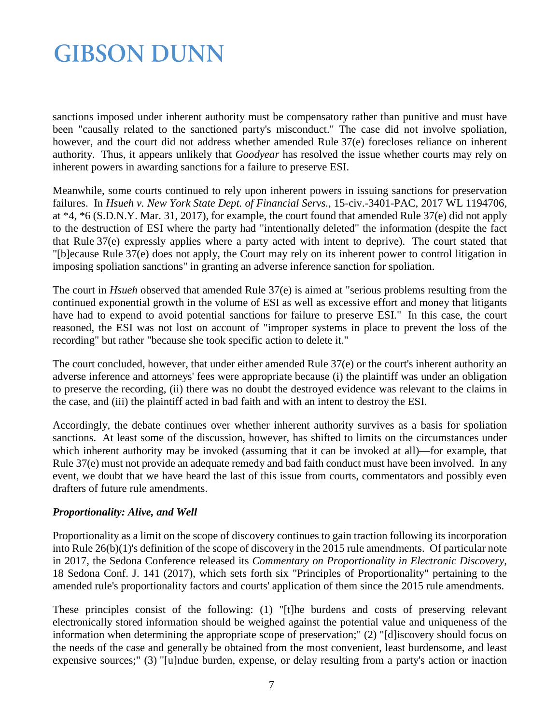sanctions imposed under inherent authority must be compensatory rather than punitive and must have been "causally related to the sanctioned party's misconduct." The case did not involve spoliation, however, and the court did not address whether amended Rule 37(e) forecloses reliance on inherent authority. Thus, it appears unlikely that *Goodyear* has resolved the issue whether courts may rely on inherent powers in awarding sanctions for a failure to preserve ESI.

Meanwhile, some courts continued to rely upon inherent powers in issuing sanctions for preservation failures. In *Hsueh v. New York State Dept. of Financial Servs.*, 15-civ.-3401-PAC, 2017 WL 1194706, at \*4, \*6 (S.D.N.Y. Mar. 31, 2017), for example, the court found that amended Rule 37(e) did not apply to the destruction of ESI where the party had "intentionally deleted" the information (despite the fact that Rule 37(e) expressly applies where a party acted with intent to deprive). The court stated that "[b]ecause Rule 37(e) does not apply, the Court may rely on its inherent power to control litigation in imposing spoliation sanctions" in granting an adverse inference sanction for spoliation.

The court in *Hsueh* observed that amended Rule 37(e) is aimed at "serious problems resulting from the continued exponential growth in the volume of ESI as well as excessive effort and money that litigants have had to expend to avoid potential sanctions for failure to preserve ESI." In this case, the court reasoned, the ESI was not lost on account of "improper systems in place to prevent the loss of the recording" but rather "because she took specific action to delete it."

The court concluded, however, that under either amended Rule 37(e) or the court's inherent authority an adverse inference and attorneys' fees were appropriate because (i) the plaintiff was under an obligation to preserve the recording, (ii) there was no doubt the destroyed evidence was relevant to the claims in the case, and (iii) the plaintiff acted in bad faith and with an intent to destroy the ESI.

Accordingly, the debate continues over whether inherent authority survives as a basis for spoliation sanctions. At least some of the discussion, however, has shifted to limits on the circumstances under which inherent authority may be invoked (assuming that it can be invoked at all)—for example, that Rule 37(e) must not provide an adequate remedy and bad faith conduct must have been involved. In any event, we doubt that we have heard the last of this issue from courts, commentators and possibly even drafters of future rule amendments.

#### *Proportionality: Alive, and Well*

Proportionality as a limit on the scope of discovery continues to gain traction following its incorporation into Rule 26(b)(1)'s definition of the scope of discovery in the 2015 rule amendments. Of particular note in 2017, the Sedona Conference released its *Commentary on Proportionality in Electronic Discovery*, 18 Sedona Conf. J. 141 (2017), which sets forth six "Principles of Proportionality" pertaining to the amended rule's proportionality factors and courts' application of them since the 2015 rule amendments.

These principles consist of the following: (1) "[t]he burdens and costs of preserving relevant electronically stored information should be weighed against the potential value and uniqueness of the information when determining the appropriate scope of preservation;" (2) "[d]iscovery should focus on the needs of the case and generally be obtained from the most convenient, least burdensome, and least expensive sources;" (3) "[u]ndue burden, expense, or delay resulting from a party's action or inaction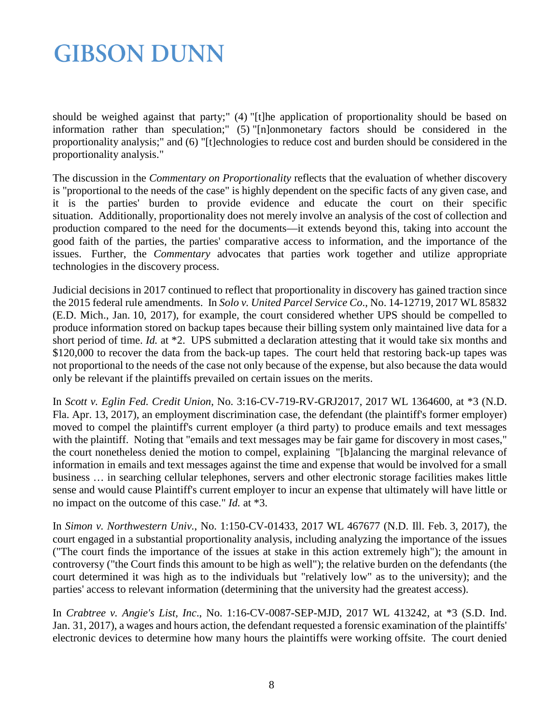should be weighed against that party;" (4) "[t]he application of proportionality should be based on information rather than speculation;" (5) "[n]onmonetary factors should be considered in the proportionality analysis;" and (6) "[t]echnologies to reduce cost and burden should be considered in the proportionality analysis."

The discussion in the *Commentary on Proportionality* reflects that the evaluation of whether discovery is "proportional to the needs of the case" is highly dependent on the specific facts of any given case, and it is the parties' burden to provide evidence and educate the court on their specific situation. Additionally, proportionality does not merely involve an analysis of the cost of collection and production compared to the need for the documents—it extends beyond this, taking into account the good faith of the parties, the parties' comparative access to information, and the importance of the issues. Further, the *Commentary* advocates that parties work together and utilize appropriate technologies in the discovery process.

Judicial decisions in 2017 continued to reflect that proportionality in discovery has gained traction since the 2015 federal rule amendments. In *Solo v. United Parcel Service Co*., No. 14-12719, 2017 WL 85832 (E.D. Mich., Jan. 10, 2017), for example, the court considered whether UPS should be compelled to produce information stored on backup tapes because their billing system only maintained live data for a short period of time. *Id.* at \*2. UPS submitted a declaration attesting that it would take six months and \$120,000 to recover the data from the back-up tapes. The court held that restoring back-up tapes was not proportional to the needs of the case not only because of the expense, but also because the data would only be relevant if the plaintiffs prevailed on certain issues on the merits.

In *Scott v. Eglin Fed. Credit Union*, No. 3:16-CV-719-RV-GRJ2017, 2017 WL 1364600, at \*3 (N.D. Fla. Apr. 13, 2017), an employment discrimination case, the defendant (the plaintiff's former employer) moved to compel the plaintiff's current employer (a third party) to produce emails and text messages with the plaintiff. Noting that "emails and text messages may be fair game for discovery in most cases," the court nonetheless denied the motion to compel, explaining "[b]alancing the marginal relevance of information in emails and text messages against the time and expense that would be involved for a small business … in searching cellular telephones, servers and other electronic storage facilities makes little sense and would cause Plaintiff's current employer to incur an expense that ultimately will have little or no impact on the outcome of this case." *Id.* at \*3.

In *Simon v. Northwestern Univ.*, No. 1:150-CV-01433, 2017 WL 467677 (N.D. Ill. Feb. 3, 2017), the court engaged in a substantial proportionality analysis, including analyzing the importance of the issues ("The court finds the importance of the issues at stake in this action extremely high"); the amount in controversy ("the Court finds this amount to be high as well"); the relative burden on the defendants (the court determined it was high as to the individuals but "relatively low" as to the university); and the parties' access to relevant information (determining that the university had the greatest access).

In *Crabtree v. Angie's List, Inc*., No. 1:16-CV-0087-SEP-MJD, 2017 WL 413242, at \*3 (S.D. Ind. Jan. 31, 2017), a wages and hours action, the defendant requested a forensic examination of the plaintiffs' electronic devices to determine how many hours the plaintiffs were working offsite. The court denied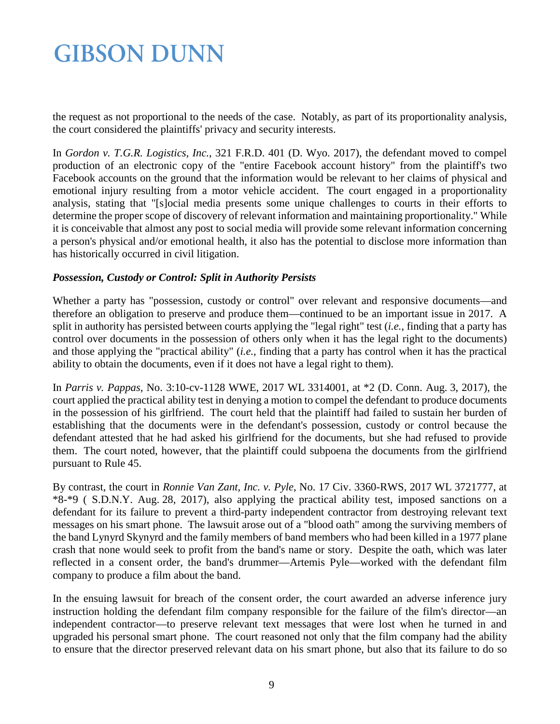the request as not proportional to the needs of the case. Notably, as part of its proportionality analysis, the court considered the plaintiffs' privacy and security interests.

In *Gordon v. T.G.R. Logistics, Inc.*, 321 F.R.D. 401 (D. Wyo. 2017), the defendant moved to compel production of an electronic copy of the "entire Facebook account history" from the plaintiff's two Facebook accounts on the ground that the information would be relevant to her claims of physical and emotional injury resulting from a motor vehicle accident. The court engaged in a proportionality analysis, stating that "[s]ocial media presents some unique challenges to courts in their efforts to determine the proper scope of discovery of relevant information and maintaining proportionality." While it is conceivable that almost any post to social media will provide some relevant information concerning a person's physical and/or emotional health, it also has the potential to disclose more information than has historically occurred in civil litigation.

#### *Possession, Custody or Control: Split in Authority Persists*

Whether a party has "possession, custody or control" over relevant and responsive documents—and therefore an obligation to preserve and produce them—continued to be an important issue in 2017. A split in authority has persisted between courts applying the "legal right" test (*i.e.*, finding that a party has control over documents in the possession of others only when it has the legal right to the documents) and those applying the "practical ability" (*i.e.*, finding that a party has control when it has the practical ability to obtain the documents, even if it does not have a legal right to them).

In *Parris v. Pappas*, No. 3:10-cv-1128 WWE, 2017 WL 3314001, at \*2 (D. Conn. Aug. 3, 2017), the court applied the practical ability test in denying a motion to compel the defendant to produce documents in the possession of his girlfriend. The court held that the plaintiff had failed to sustain her burden of establishing that the documents were in the defendant's possession, custody or control because the defendant attested that he had asked his girlfriend for the documents, but she had refused to provide them. The court noted, however, that the plaintiff could subpoena the documents from the girlfriend pursuant to Rule 45.

By contrast, the court in *Ronnie Van Zant, Inc. v. Pyle*, No. 17 Civ. 3360-RWS, 2017 WL 3721777, at \*8-\*9 ( S.D.N.Y. Aug. 28, 2017), also applying the practical ability test, imposed sanctions on a defendant for its failure to prevent a third-party independent contractor from destroying relevant text messages on his smart phone. The lawsuit arose out of a "blood oath" among the surviving members of the band Lynyrd Skynyrd and the family members of band members who had been killed in a 1977 plane crash that none would seek to profit from the band's name or story. Despite the oath, which was later reflected in a consent order, the band's drummer—Artemis Pyle—worked with the defendant film company to produce a film about the band.

In the ensuing lawsuit for breach of the consent order, the court awarded an adverse inference jury instruction holding the defendant film company responsible for the failure of the film's director—an independent contractor—to preserve relevant text messages that were lost when he turned in and upgraded his personal smart phone. The court reasoned not only that the film company had the ability to ensure that the director preserved relevant data on his smart phone, but also that its failure to do so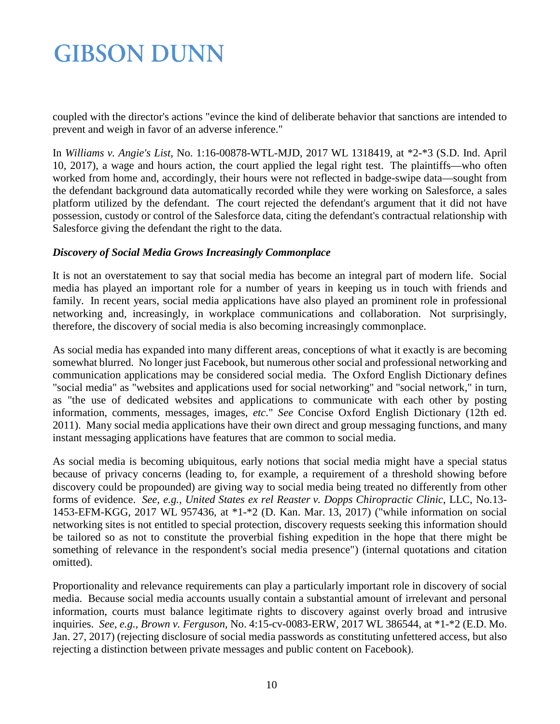coupled with the director's actions "evince the kind of deliberate behavior that sanctions are intended to prevent and weigh in favor of an adverse inference."

In *Williams v. Angie's List*, No. 1:16-00878-WTL-MJD, 2017 WL 1318419, at \*2-\*3 (S.D. Ind. April 10, 2017), a wage and hours action, the court applied the legal right test. The plaintiffs—who often worked from home and, accordingly, their hours were not reflected in badge-swipe data—sought from the defendant background data automatically recorded while they were working on Salesforce, a sales platform utilized by the defendant. The court rejected the defendant's argument that it did not have possession, custody or control of the Salesforce data, citing the defendant's contractual relationship with Salesforce giving the defendant the right to the data.

#### *Discovery of Social Media Grows Increasingly Commonplace*

It is not an overstatement to say that social media has become an integral part of modern life. Social media has played an important role for a number of years in keeping us in touch with friends and family. In recent years, social media applications have also played an prominent role in professional networking and, increasingly, in workplace communications and collaboration. Not surprisingly, therefore, the discovery of social media is also becoming increasingly commonplace.

As social media has expanded into many different areas, conceptions of what it exactly is are becoming somewhat blurred. No longer just Facebook, but numerous other social and professional networking and communication applications may be considered social media. The Oxford English Dictionary defines "social media" as "websites and applications used for social networking" and "social network," in turn, as "the use of dedicated websites and applications to communicate with each other by posting information, comments, messages, images, *etc*." *See* Concise Oxford English Dictionary (12th ed. 2011). Many social media applications have their own direct and group messaging functions, and many instant messaging applications have features that are common to social media.

As social media is becoming ubiquitous, early notions that social media might have a special status because of privacy concerns (leading to, for example, a requirement of a threshold showing before discovery could be propounded) are giving way to social media being treated no differently from other forms of evidence. *See, e.g., United States ex rel Reaster v. Dopps Chiropractic Clinic*, LLC, No.13- 1453-EFM-KGG, 2017 WL 957436, at \*1-\*2 (D. Kan. Mar. 13, 2017) ("while information on social networking sites is not entitled to special protection, discovery requests seeking this information should be tailored so as not to constitute the proverbial fishing expedition in the hope that there might be something of relevance in the respondent's social media presence") (internal quotations and citation omitted).

Proportionality and relevance requirements can play a particularly important role in discovery of social media. Because social media accounts usually contain a substantial amount of irrelevant and personal information, courts must balance legitimate rights to discovery against overly broad and intrusive inquiries. *See, e.g., Brown v. Ferguson*, No. 4:15-cv-0083-ERW, 2017 WL 386544, at \*1-\*2 (E.D. Mo. Jan. 27, 2017) (rejecting disclosure of social media passwords as constituting unfettered access, but also rejecting a distinction between private messages and public content on Facebook).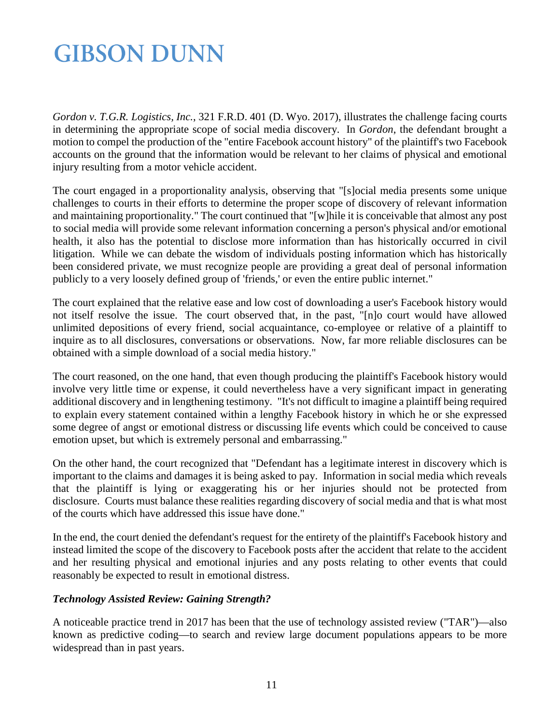*Gordon v. T.G.R. Logistics, Inc.*, 321 F.R.D. 401 (D. Wyo. 2017), illustrates the challenge facing courts in determining the appropriate scope of social media discovery. In *Gordon*, the defendant brought a motion to compel the production of the "entire Facebook account history" of the plaintiff's two Facebook accounts on the ground that the information would be relevant to her claims of physical and emotional injury resulting from a motor vehicle accident.

The court engaged in a proportionality analysis, observing that "[s]ocial media presents some unique challenges to courts in their efforts to determine the proper scope of discovery of relevant information and maintaining proportionality." The court continued that "[w]hile it is conceivable that almost any post to social media will provide some relevant information concerning a person's physical and/or emotional health, it also has the potential to disclose more information than has historically occurred in civil litigation. While we can debate the wisdom of individuals posting information which has historically been considered private, we must recognize people are providing a great deal of personal information publicly to a very loosely defined group of 'friends,' or even the entire public internet."

The court explained that the relative ease and low cost of downloading a user's Facebook history would not itself resolve the issue. The court observed that, in the past, "[n]o court would have allowed unlimited depositions of every friend, social acquaintance, co-employee or relative of a plaintiff to inquire as to all disclosures, conversations or observations. Now, far more reliable disclosures can be obtained with a simple download of a social media history."

The court reasoned, on the one hand, that even though producing the plaintiff's Facebook history would involve very little time or expense, it could nevertheless have a very significant impact in generating additional discovery and in lengthening testimony. "It's not difficult to imagine a plaintiff being required to explain every statement contained within a lengthy Facebook history in which he or she expressed some degree of angst or emotional distress or discussing life events which could be conceived to cause emotion upset, but which is extremely personal and embarrassing."

On the other hand, the court recognized that "Defendant has a legitimate interest in discovery which is important to the claims and damages it is being asked to pay. Information in social media which reveals that the plaintiff is lying or exaggerating his or her injuries should not be protected from disclosure. Courts must balance these realities regarding discovery of social media and that is what most of the courts which have addressed this issue have done."

In the end, the court denied the defendant's request for the entirety of the plaintiff's Facebook history and instead limited the scope of the discovery to Facebook posts after the accident that relate to the accident and her resulting physical and emotional injuries and any posts relating to other events that could reasonably be expected to result in emotional distress.

#### *Technology Assisted Review: Gaining Strength?*

A noticeable practice trend in 2017 has been that the use of technology assisted review ("TAR")—also known as predictive coding—to search and review large document populations appears to be more widespread than in past years.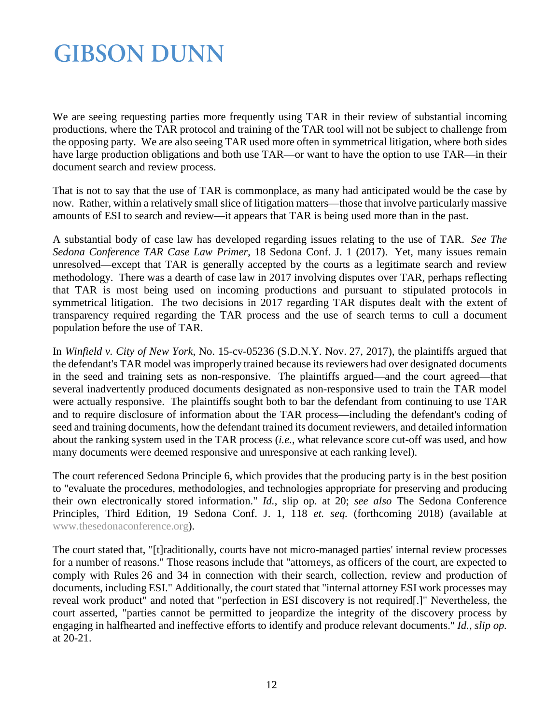We are seeing requesting parties more frequently using TAR in their review of substantial incoming productions, where the TAR protocol and training of the TAR tool will not be subject to challenge from the opposing party. We are also seeing TAR used more often in symmetrical litigation, where both sides have large production obligations and both use TAR—or want to have the option to use TAR—in their document search and review process.

That is not to say that the use of TAR is commonplace, as many had anticipated would be the case by now. Rather, within a relatively small slice of litigation matters—those that involve particularly massive amounts of ESI to search and review—it appears that TAR is being used more than in the past.

A substantial body of case law has developed regarding issues relating to the use of TAR. *See The Sedona Conference TAR Case Law Primer*, 18 Sedona Conf. J. 1 (2017). Yet, many issues remain unresolved—except that TAR is generally accepted by the courts as a legitimate search and review methodology. There was a dearth of case law in 2017 involving disputes over TAR, perhaps reflecting that TAR is most being used on incoming productions and pursuant to stipulated protocols in symmetrical litigation. The two decisions in 2017 regarding TAR disputes dealt with the extent of transparency required regarding the TAR process and the use of search terms to cull a document population before the use of TAR.

In *Winfield v. City of New York*, No. 15-cv-05236 (S.D.N.Y. Nov. 27, 2017), the plaintiffs argued that the defendant's TAR model was improperly trained because its reviewers had over designated documents in the seed and training sets as non-responsive. The plaintiffs argued—and the court agreed—that several inadvertently produced documents designated as non-responsive used to train the TAR model were actually responsive. The plaintiffs sought both to bar the defendant from continuing to use TAR and to require disclosure of information about the TAR process—including the defendant's coding of seed and training documents, how the defendant trained its document reviewers, and detailed information about the ranking system used in the TAR process (*i.e.*, what relevance score cut-off was used, and how many documents were deemed responsive and unresponsive at each ranking level).

The court referenced Sedona Principle 6, which provides that the producing party is in the best position to "evaluate the procedures, methodologies, and technologies appropriate for preserving and producing their own electronically stored information." *Id.*, slip op. at 20; *see also* The Sedona Conference Principles, Third Edition, 19 Sedona Conf. J. 1, 118 *et. seq.* (forthcoming 2018) (available at [www.thesedonaconference.org\)](http://www.thesedonaconference.org/).

The court stated that, "[t]raditionally, courts have not micro-managed parties' internal review processes for a number of reasons." Those reasons include that "attorneys, as officers of the court, are expected to comply with Rules 26 and 34 in connection with their search, collection, review and production of documents, including ESI." Additionally, the court stated that "internal attorney ESI work processes may reveal work product" and noted that "perfection in ESI discovery is not required[.]" Nevertheless, the court asserted, "parties cannot be permitted to jeopardize the integrity of the discovery process by engaging in halfhearted and ineffective efforts to identify and produce relevant documents." *Id.*, *slip op.*  at 20-21.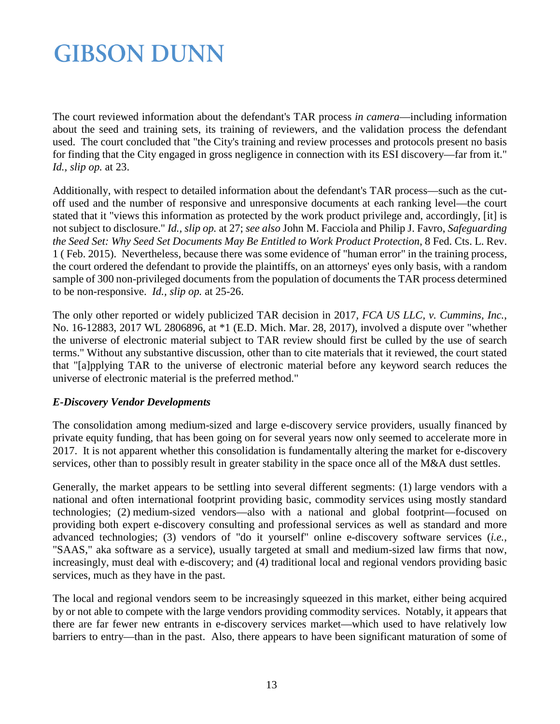The court reviewed information about the defendant's TAR process *in camera*—including information about the seed and training sets, its training of reviewers, and the validation process the defendant used. The court concluded that "the City's training and review processes and protocols present no basis for finding that the City engaged in gross negligence in connection with its ESI discovery—far from it." *Id., slip op.* at 23.

Additionally, with respect to detailed information about the defendant's TAR process—such as the cutoff used and the number of responsive and unresponsive documents at each ranking level—the court stated that it "views this information as protected by the work product privilege and, accordingly, [it] is not subject to disclosure." *Id., slip op.* at 27; *see also* John M. Facciola and Philip J. Favro, *Safeguarding the Seed Set: Why Seed Set Documents May Be Entitled to Work Product Protection*, 8 Fed. Cts. L. Rev. 1 ( Feb. 2015). Nevertheless, because there was some evidence of "human error" in the training process, the court ordered the defendant to provide the plaintiffs, on an attorneys' eyes only basis, with a random sample of 300 non-privileged documents from the population of documents the TAR process determined to be non-responsive. *Id., slip op.* at 25-26.

The only other reported or widely publicized TAR decision in 2017, *FCA US LLC, v. Cummins, Inc.*, No. 16-12883, 2017 WL 2806896, at \*1 (E.D. Mich. Mar. 28, 2017), involved a dispute over "whether the universe of electronic material subject to TAR review should first be culled by the use of search terms." Without any substantive discussion, other than to cite materials that it reviewed, the court stated that "[a]pplying TAR to the universe of electronic material before any keyword search reduces the universe of electronic material is the preferred method."

#### *E-Discovery Vendor Developments*

The consolidation among medium-sized and large e-discovery service providers, usually financed by private equity funding, that has been going on for several years now only seemed to accelerate more in 2017. It is not apparent whether this consolidation is fundamentally altering the market for e-discovery services, other than to possibly result in greater stability in the space once all of the M&A dust settles.

Generally, the market appears to be settling into several different segments: (1) large vendors with a national and often international footprint providing basic, commodity services using mostly standard technologies; (2) medium-sized vendors—also with a national and global footprint—focused on providing both expert e-discovery consulting and professional services as well as standard and more advanced technologies; (3) vendors of "do it yourself" online e-discovery software services (*i.e.*, "SAAS," aka software as a service), usually targeted at small and medium-sized law firms that now, increasingly, must deal with e-discovery; and (4) traditional local and regional vendors providing basic services, much as they have in the past.

The local and regional vendors seem to be increasingly squeezed in this market, either being acquired by or not able to compete with the large vendors providing commodity services. Notably, it appears that there are far fewer new entrants in e-discovery services market—which used to have relatively low barriers to entry—than in the past. Also, there appears to have been significant maturation of some of